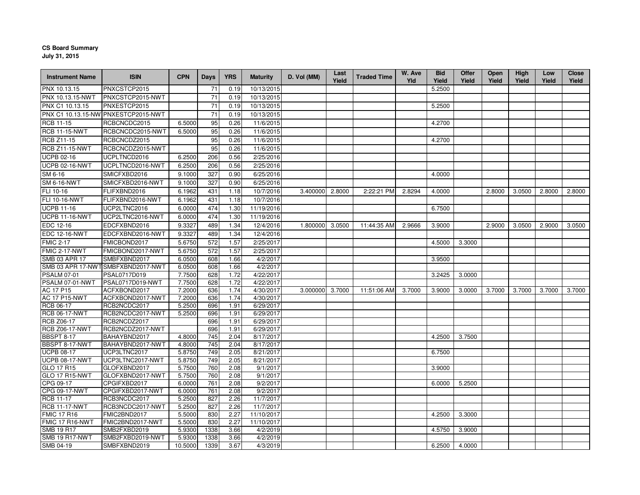## **CS Board Summary**

**July 31, 2015**

| <b>Instrument Name</b>              | <b>ISIN</b>                         | <b>CPN</b>       | <b>Days</b> | <b>YRS</b>   | <b>Maturity</b>      | D. Vol (MM)     | Last<br>Yield | <b>Traded Time</b> | W. Ave<br>Yld | <b>Bid</b><br>Yield | Offer<br>Yield | <b>Open</b><br>Yield | High<br>Yield | Low<br>Yield | <b>Close</b><br>Yield |
|-------------------------------------|-------------------------------------|------------------|-------------|--------------|----------------------|-----------------|---------------|--------------------|---------------|---------------------|----------------|----------------------|---------------|--------------|-----------------------|
| PNX 10.13.15                        | PNXCSTCP2015                        |                  | 71          | 0.19         | 10/13/2015           |                 |               |                    |               | 5.2500              |                |                      |               |              |                       |
| PNX 10.13.15-NWT                    | PNXCSTCP2015-NWT                    |                  | 71          | 0.19         | 10/13/2015           |                 |               |                    |               |                     |                |                      |               |              |                       |
| PNX C1 10.13.15                     | PNXESTCP2015                        |                  | 71          | 0.19         | 10/13/2015           |                 |               |                    |               | 5.2500              |                |                      |               |              |                       |
|                                     | PNX C1 10.13.15-NW PNXESTCP2015-NWT |                  | 71          | 0.19         | 10/13/2015           |                 |               |                    |               |                     |                |                      |               |              |                       |
| <b>RCB 11-15</b>                    | RCBCNCDC2015                        | 6.5000           | 95          | 0.26         | 11/6/2015            |                 |               |                    |               | 4.2700              |                |                      |               |              |                       |
| <b>RCB 11-15-NWT</b>                | RCBCNCDC2015-NWT                    | 6.5000           | 95          | 0.26         | 11/6/2015            |                 |               |                    |               |                     |                |                      |               |              |                       |
| <b>RCB Z11-15</b>                   | RCBCNCDZ2015                        |                  | 95          | 0.26         | 11/6/2015            |                 |               |                    |               | 4.2700              |                |                      |               |              |                       |
| <b>RCB Z11-15-NWT</b>               | RCBCNCDZ2015-NWT                    |                  | 95          | 0.26         | 11/6/2015            |                 |               |                    |               |                     |                |                      |               |              |                       |
| <b>UCPB 02-16</b>                   | UCPLTNCD2016                        | 6.2500           | 206         | 0.56         | 2/25/2016            |                 |               |                    |               |                     |                |                      |               |              |                       |
| <b>UCPB 02-16-NWT</b>               | UCPLTNCD2016-NWT                    | 6.2500           | 206         | 0.56         | 2/25/2016            |                 |               |                    |               |                     |                |                      |               |              |                       |
| SM 6-16                             | SMICFXBD2016                        | 9.1000           | 327         | 0.90         | 6/25/2016            |                 |               |                    |               | 4.0000              |                |                      |               |              |                       |
| <b>SM 6-16-NWT</b>                  | SMICFXBD2016-NWT                    | 9.1000           | 327         | 0.90         | 6/25/2016            |                 |               |                    |               |                     |                |                      |               |              |                       |
| FLI 10-16                           | FLIFXBND2016                        | 6.1962           | 431         | 1.18         | 10/7/2016            | 3.400000        | 2.8000        | 2:22:21 PM         | 2.8294        | 4.0000              |                | 2.8000               | 3.0500        | 2.8000       | 2.8000                |
| FLI 10-16-NWT                       | FLIFXBND2016-NWT                    | 6.1962           | 431         | 1.18         | 10/7/2016            |                 |               |                    |               |                     |                |                      |               |              |                       |
| <b>UCPB 11-16</b>                   | UCP2LTNC2016                        | 6.0000           | 474         | 1.30         | 11/19/2016           |                 |               |                    |               | 6.7500              |                |                      |               |              |                       |
| <b>UCPB 11-16-NWT</b>               | UCP2LTNC2016-NWT                    | 6.0000           | 474         | 1.30         | 11/19/2016           |                 |               |                    |               |                     |                |                      |               |              |                       |
| EDC 12-16                           | EDCFXBND2016                        | 9.3327           | 489         | 1.34         | 12/4/2016            | 1.800000        | 3.0500        | 11:44:35 AM        | 2.9666        | 3.9000              |                | 2.9000               | 3.0500        | 2.9000       | 3.0500                |
| <b>EDC 12-16-NWT</b>                | EDCFXBND2016-NWT                    | 9.3327           | 489         | 1.34         | 12/4/2016            |                 |               |                    |               |                     |                |                      |               |              |                       |
| <b>FMIC 2-17</b>                    | FMICBOND2017                        | 5.6750           | 572         | 1.57         | 2/25/2017            |                 |               |                    |               | 4.5000              | 3.3000         |                      |               |              |                       |
| FMIC 2-17-NWT                       | FMICBOND2017-NWT                    | 5.6750           | 572         | 1.57         | 2/25/2017            |                 |               |                    |               |                     |                |                      |               |              |                       |
| SMB 03 APR 17                       | SMBFXBND2017                        | 6.0500           | 608         | 1.66         | 4/2/2017             |                 |               |                    |               | 3.9500              |                |                      |               |              |                       |
|                                     | SMB 03 APR 17-NWT SMBFXBND2017-NWT  | 6.0500           | 608         | 1.66         | 4/2/2017             |                 |               |                    |               |                     |                |                      |               |              |                       |
| <b>PSALM 07-01</b>                  | PSAL0717D019                        | 7.7500           | 628         | 1.72         | 4/22/2017            |                 |               |                    |               | 3.2425              | 3.0000         |                      |               |              |                       |
| PSALM 07-01-NWT                     | PSAL0717D019-NWT                    | 7.7500           | 628         | 1.72         | 4/22/2017            |                 |               |                    |               |                     |                |                      |               |              |                       |
| AC 17 P15                           | ACFXBOND2017                        | 7.2000           | 636         | 1.74         | 4/30/2017            | 3.000000 3.7000 |               | 11:51:06 AM        | 3.7000        | 3.9000              | 3.0000         | 3.7000               | 3.7000        | 3.7000       | 3.7000                |
| AC 17 P15-NWT                       | ACFXBOND2017-NWT                    | 7.2000           | 636         | 1.74         | 4/30/2017            |                 |               |                    |               |                     |                |                      |               |              |                       |
| RCB 06-17                           | RCB2NCDC2017                        | 5.2500           | 696         | 1.91         | 6/29/2017            |                 |               |                    |               |                     |                |                      |               |              |                       |
| <b>RCB 06-17-NWT</b>                | RCB2NCDC2017-NWT                    | 5.2500           | 696         | 1.91         | 6/29/2017            |                 |               |                    |               |                     |                |                      |               |              |                       |
| <b>RCB Z06-17</b>                   | RCB2NCDZ2017                        |                  | 696         | 1.91         | 6/29/2017            |                 |               |                    |               |                     |                |                      |               |              |                       |
| <b>RCB Z06-17-NWT</b>               | RCB2NCDZ2017-NWT                    |                  | 696         | 1.91         | 6/29/2017            |                 |               |                    |               |                     |                |                      |               |              |                       |
| <b>BBSPT 8-17</b>                   | BAHAYBND2017                        | 4.8000           | 745         | 2.04         | 8/17/2017            |                 |               |                    |               | 4.2500              | 3.7500         |                      |               |              |                       |
| BBSPT 8-17-NWT                      | BAHAYBND2017-NWT                    | 4.8000           | 745         | 2.04         | 8/17/2017            |                 |               |                    |               |                     |                |                      |               |              |                       |
| <b>UCPB 08-17</b>                   | UCP3LTNC2017                        | 5.8750           | 749         | 2.05         | 8/21/2017            |                 |               |                    |               | 6.7500              |                |                      |               |              |                       |
| <b>UCPB 08-17-NWT</b>               | UCP3LTNC2017-NWT                    | 5.8750           | 749         | 2.05         | 8/21/2017            |                 |               |                    |               |                     |                |                      |               |              |                       |
| GLO 17 R15<br><b>GLO 17 R15-NWT</b> | GLOFXBND2017<br>GLOFXBND2017-NWT    | 5.7500<br>5.7500 | 760<br>760  | 2.08<br>2.08 | 9/1/2017<br>9/1/2017 |                 |               |                    |               | 3.9000              |                |                      |               |              |                       |
| CPG 09-17                           | CPGIFXBD2017                        | 6.0000           | 761         | 2.08         | 9/2/2017             |                 |               |                    |               | 6.0000              | 5.2500         |                      |               |              |                       |
| CPG 09-17-NWT                       | CPGIFXBD2017-NWT                    | 6.0000           | 761         | 2.08         | 9/2/2017             |                 |               |                    |               |                     |                |                      |               |              |                       |
| <b>RCB 11-17</b>                    | RCB3NCDC2017                        | 5.2500           | 827         | 2.26         | 11/7/2017            |                 |               |                    |               |                     |                |                      |               |              |                       |
| <b>RCB 11-17-NWT</b>                | RCB3NCDC2017-NWT                    | 5.2500           | 827         | 2.26         | 11/7/2017            |                 |               |                    |               |                     |                |                      |               |              |                       |
| <b>FMIC 17 R16</b>                  | FMIC2BND2017                        | 5.5000           | 830         | 2.27         | 11/10/2017           |                 |               |                    |               | 4.2500              | 3.3000         |                      |               |              |                       |
| <b>FMIC 17 R16-NWT</b>              | FMIC2BND2017-NWT                    | 5.5000           | 830         | 2.27         | 11/10/2017           |                 |               |                    |               |                     |                |                      |               |              |                       |
| <b>SMB 19 R17</b>                   | SMB2FXBD2019                        | 5.9300           | 1338        | 3.66         | 4/2/2019             |                 |               |                    |               | 4.5750              | 3.9000         |                      |               |              |                       |
| <b>SMB 19 R17-NWT</b>               | SMB2FXBD2019-NWT                    | 5.9300           | 1338        | 3.66         | 4/2/2019             |                 |               |                    |               |                     |                |                      |               |              |                       |
| SMB 04-19                           | SMBFXBND2019                        | 10.5000          | 1339        | 3.67         | 4/3/2019             |                 |               |                    |               | 6.2500              | 4.0000         |                      |               |              |                       |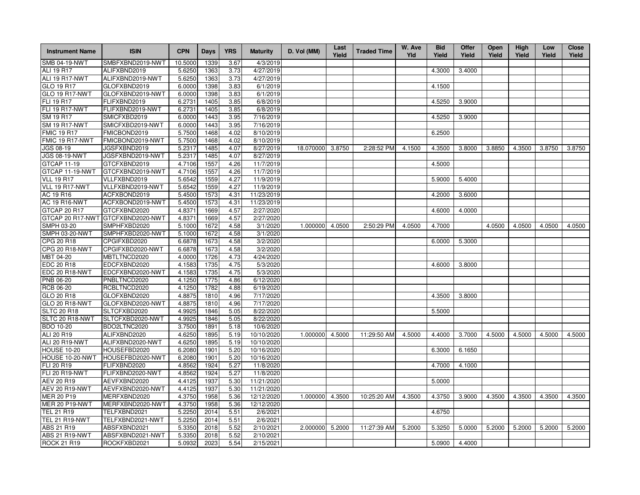| <b>Instrument Name</b> | <b>ISIN</b>                       | <b>CPN</b> | Days | <b>YRS</b> | <b>Maturity</b> | D. Vol (MM) | Last<br>Yield | <b>Traded Time</b> | W. Ave<br>Yld | <b>Bid</b><br>Yield | Offer<br>Yield | Open<br>Yield | <b>High</b><br>Yield | Low<br>Yield | <b>Close</b><br>Yield |
|------------------------|-----------------------------------|------------|------|------------|-----------------|-------------|---------------|--------------------|---------------|---------------------|----------------|---------------|----------------------|--------------|-----------------------|
| <b>SMB 04-19-NWT</b>   | SMBFXBND2019-NWT                  | 10.5000    | 1339 | 3.67       | 4/3/2019        |             |               |                    |               |                     |                |               |                      |              |                       |
| ALI 19 R17             | ALIFXBND2019                      | 5.6250     | 1363 | 3.73       | 4/27/2019       |             |               |                    |               | 4.3000              | 3.4000         |               |                      |              |                       |
| ALI 19 R17-NWT         | ALIFXBND2019-NWT                  | 5.6250     | 1363 | 3.73       | 4/27/2019       |             |               |                    |               |                     |                |               |                      |              |                       |
| GLO 19 R17             | GLOFXBND2019                      | 6.0000     | 1398 | 3.83       | 6/1/2019        |             |               |                    |               | 4.1500              |                |               |                      |              |                       |
| <b>GLO 19 R17-NWT</b>  | GLOFXBND2019-NWT                  | 6.0000     | 1398 | 3.83       | 6/1/2019        |             |               |                    |               |                     |                |               |                      |              |                       |
| FLI 19 R17             | FLIFXBND2019                      | 6.2731     | 1405 | 3.85       | 6/8/2019        |             |               |                    |               | 4.5250              | 3.9000         |               |                      |              |                       |
| FLI 19 R17-NWT         | FLIFXBND2019-NWT                  | 6.2731     | 1405 | 3.85       | 6/8/2019        |             |               |                    |               |                     |                |               |                      |              |                       |
| SM 19 R17              | SMICFXBD2019                      | 6.0000     | 1443 | 3.95       | 7/16/2019       |             |               |                    |               | 4.5250              | 3.9000         |               |                      |              |                       |
| <b>SM 19 R17-NWT</b>   | SMICFXBD2019-NWT                  | 6.0000     | 1443 | 3.95       | 7/16/2019       |             |               |                    |               |                     |                |               |                      |              |                       |
| <b>FMIC 19 R17</b>     | FMICBOND2019                      | 5.7500     | 1468 | 4.02       | 8/10/2019       |             |               |                    |               | 6.2500              |                |               |                      |              |                       |
| FMIC 19 R17-NWT        | FMICBOND2019-NWT                  | 5.7500     | 1468 | 4.02       | 8/10/2019       |             |               |                    |               |                     |                |               |                      |              |                       |
| JGS 08-19              | JGSFXBND2019                      | 5.2317     | 1485 | 4.07       | 8/27/2019       | 18.070000   | 3.8750        | 2:28:52 PM         | 4.1500        | 4.3500              | 3.8000         | 3.8850        | 4.3500               | 3.8750       | 3.8750                |
| <b>JGS 08-19-NWT</b>   | JGSFXBND2019-NWT                  | 5.2317     | 1485 | 4.07       | 8/27/2019       |             |               |                    |               |                     |                |               |                      |              |                       |
| <b>GTCAP 11-19</b>     | GTCFXBND2019                      | 4.7106     | 1557 | 4.26       | 11/7/2019       |             |               |                    |               | 4.5000              |                |               |                      |              |                       |
| GTCAP 11-19-NWT        | GTCFXBND2019-NWT                  | 4.7106     | 1557 | 4.26       | 11/7/2019       |             |               |                    |               |                     |                |               |                      |              |                       |
| <b>VLL 19 R17</b>      | VLLFXBND2019                      | 5.6542     | 1559 | 4.27       | 11/9/2019       |             |               |                    |               | 5.9000              | 5.4000         |               |                      |              |                       |
| VLL 19 R17-NWT         | VLLFXBND2019-NWT                  | 5.6542     | 1559 | 4.27       | 11/9/2019       |             |               |                    |               |                     |                |               |                      |              |                       |
| AC 19 R16              | ACFXBOND2019                      | 5.4500     | 1573 | 4.31       | 11/23/2019      |             |               |                    |               | 4.2000              | 3.6000         |               |                      |              |                       |
| <b>AC 19 R16-NWT</b>   | ACFXBOND2019-NWT                  | 5.4500     | 1573 | 4.31       | 11/23/2019      |             |               |                    |               |                     |                |               |                      |              |                       |
| GTCAP 20 R17           | GTCFXBND2020                      | 4.8371     | 1669 | 4.57       | 2/27/2020       |             |               |                    |               | 4.6000              | 4.0000         |               |                      |              |                       |
|                        | GTCAP 20 R17-NWT GTCFXBND2020-NWT | 4.8371     | 1669 | 4.57       | 2/27/2020       |             |               |                    |               |                     |                |               |                      |              |                       |
| SMPH 03-20             | SMPHFXBD2020                      | 5.1000     | 1672 | 4.58       | 3/1/2020        | 1.000000    | 4.0500        | 2:50:29 PM         | 4.0500        | 4.7000              |                | 4.0500        | 4.0500               | 4.0500       | 4.0500                |
| <b>SMPH 03-20-NWT</b>  | SMPHFXBD2020-NWT                  | 5.1000     | 1672 | 4.58       | 3/1/2020        |             |               |                    |               |                     |                |               |                      |              |                       |
| CPG 20 R18             | CPGIFXBD2020                      | 6.6878     | 1673 | 4.58       | 3/2/2020        |             |               |                    |               | 6.0000              | 5.3000         |               |                      |              |                       |
| CPG 20 R18-NWT         | CPGIFXBD2020-NWT                  | 6.6878     | 1673 | 4.58       | 3/2/2020        |             |               |                    |               |                     |                |               |                      |              |                       |
| MBT 04-20              | MBTLTNCD2020                      | 4.0000     | 1726 | 4.73       | 4/24/2020       |             |               |                    |               |                     |                |               |                      |              |                       |
| EDC 20 R18             | EDCFXBND2020                      | 4.1583     | 1735 | 4.75       | 5/3/2020        |             |               |                    |               | 4.6000              | 3.8000         |               |                      |              |                       |
| EDC 20 R18-NWT         | EDCFXBND2020-NWT                  | 4.1583     | 1735 | 4.75       | 5/3/2020        |             |               |                    |               |                     |                |               |                      |              |                       |
| PNB 06-20              | PNBLTNCD2020                      | 4.1250     | 1775 | 4.86       | 6/12/2020       |             |               |                    |               |                     |                |               |                      |              |                       |
| <b>RCB 06-20</b>       | RCBLTNCD2020                      | 4.1250     | 1782 | 4.88       | 6/19/2020       |             |               |                    |               |                     |                |               |                      |              |                       |
| GLO 20 R18             | GLOFXBND2020                      | 4.8875     | 1810 | 4.96       | 7/17/2020       |             |               |                    |               | 4.3500              | 3.8000         |               |                      |              |                       |
| <b>GLO 20 R18-NWT</b>  | GLOFXBND2020-NWT                  | 4.8875     | 1810 | 4.96       | 7/17/2020       |             |               |                    |               |                     |                |               |                      |              |                       |
| <b>SLTC 20 R18</b>     | SLTCFXBD2020                      | 4.9925     | 1846 | 5.05       | 8/22/2020       |             |               |                    |               | 5.5000              |                |               |                      |              |                       |
| SLTC 20 R18-NWT        | SLTCFXBD2020-NWT                  | 4.9925     | 1846 | 5.05       | 8/22/2020       |             |               |                    |               |                     |                |               |                      |              |                       |
| <b>BDO 10-20</b>       | BDO2LTNC2020                      | 3.7500     | 1891 | 5.18       | 10/6/2020       |             |               |                    |               |                     |                |               |                      |              |                       |
| ALI 20 R19             | ALIFXBND2020                      | 4.6250     | 1895 | 5.19       | 10/10/2020      | 1.000000    | 4.5000        | 11:29:50 AM        | 4.5000        | 4.4000              | 3.7000         | 4.5000        | 4.5000               | 4.5000       | 4.5000                |
| ALI 20 R19-NWT         | ALIFXBND2020-NWT                  | 4.6250     | 1895 | 5.19       | 10/10/2020      |             |               |                    |               |                     |                |               |                      |              |                       |
| <b>HOUSE 10-20</b>     | HOUSEFBD2020                      | 6.2080     | 1901 | 5.20       | 10/16/2020      |             |               |                    |               | 6.3000              | 6.1650         |               |                      |              |                       |
| HOUSE 10-20-NWT        | HOUSEFBD2020-NWT                  | 6.2080     | 1901 | 5.20       | 10/16/2020      |             |               |                    |               |                     |                |               |                      |              |                       |
| FLI 20 R19             | FLIFXBND2020                      | 4.8562     | 1924 | 5.27       | 11/8/2020       |             |               |                    |               | 4.7000              | 4.1000         |               |                      |              |                       |
| FLI 20 R19-NWT         | FLIFXBND2020-NWT                  | 4.8562     | 1924 | 5.27       | 11/8/2020       |             |               |                    |               |                     |                |               |                      |              |                       |
| <b>AEV 20 R19</b>      | AEVFXBND2020                      | 4.4125     | 1937 | 5.30       | 11/21/2020      |             |               |                    |               | 5.0000              |                |               |                      |              |                       |
| AEV 20 R19-NWT         | AEVFXBND2020-NWT                  | 4.4125     | 1937 | 5.30       | 11/21/2020      |             |               |                    |               |                     |                |               |                      |              |                       |
| <b>MER 20 P19</b>      | MERFXBND2020                      | 4.3750     | 1958 | 5.36       | 12/12/2020      | 1.000000    | 4.3500        | 10:25:20 AM        | 4.3500        | 4.3750              | 3.9000         | 4.3500        | 4.3500               | 4.3500       | 4.3500                |
| <b>MER 20 P19-NWT</b>  | MERFXBND2020-NWT                  | 4.3750     | 1958 | 5.36       | 12/12/2020      |             |               |                    |               |                     |                |               |                      |              |                       |
| TEL 21 R19             | TELFXBND2021                      | 5.2250     | 2014 | 5.51       | 2/6/2021        |             |               |                    |               | 4.6750              |                |               |                      |              |                       |
| <b>TEL 21 R19-NWT</b>  | TELFXBND2021-NWT                  | 5.2250     | 2014 | 5.51       | 2/6/2021        |             |               |                    |               |                     |                |               |                      |              |                       |
| ABS 21 R19             | ABSFXBND2021                      | 5.3350     | 2018 | 5.52       | 2/10/2021       | 2.000000    | 5.2000        | 11:27:39 AM        | 5.2000        | 5.3250              | 5.0000         | 5.2000        | 5.2000               | 5.2000       | 5.2000                |
| ABS 21 R19-NWT         | ABSFXBND2021-NWT                  | 5.3350     | 2018 | 5.52       | 2/10/2021       |             |               |                    |               |                     |                |               |                      |              |                       |
| <b>ROCK 21 R19</b>     | ROCKFXBD2021                      | 5.0932     | 2023 | 5.54       | 2/15/2021       |             |               |                    |               | 5.0900              | 4.4000         |               |                      |              |                       |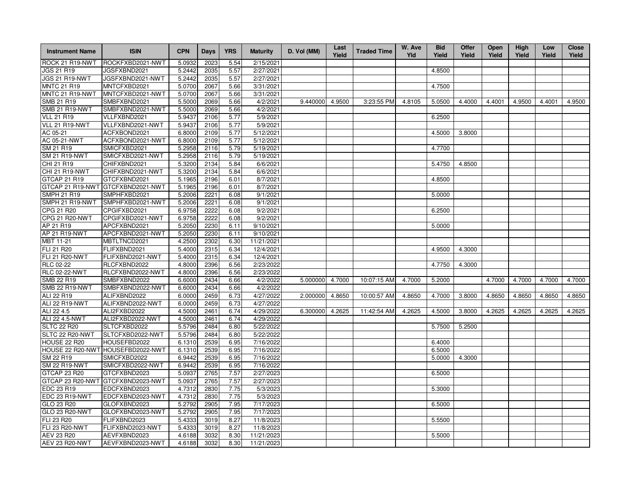| <b>Instrument Name</b> | <b>ISIN</b>                       | <b>CPN</b>          | <b>Days</b> | <b>YRS</b> | <b>Maturity</b> | D. Vol (MM) | Last<br>Yield | <b>Traded Time</b> | W. Ave<br>Yld | <b>Bid</b><br>Yield | <b>Offer</b><br>Yield | Open<br>Yield | High<br>Yield | Low<br>Yield | <b>Close</b><br>Yield |
|------------------------|-----------------------------------|---------------------|-------------|------------|-----------------|-------------|---------------|--------------------|---------------|---------------------|-----------------------|---------------|---------------|--------------|-----------------------|
| ROCK 21 R19-NWT        | ROCKFXBD2021-NWT                  | 5.0932              | 2023        | 5.54       | 2/15/2021       |             |               |                    |               |                     |                       |               |               |              |                       |
| JGS 21 R19             | JGSFXBND2021                      | 5.2442              | 2035        | 5.57       | 2/27/2021       |             |               |                    |               | 4.8500              |                       |               |               |              |                       |
| <b>JGS 21 R19-NWT</b>  | JGSFXBND2021-NWT                  | 5.2442              | 2035        | 5.57       | 2/27/2021       |             |               |                    |               |                     |                       |               |               |              |                       |
| <b>MNTC 21 R19</b>     | MNTCFXBD2021                      | 5.0700              | 2067        | 5.66       | 3/31/2021       |             |               |                    |               | 4.7500              |                       |               |               |              |                       |
| MNTC 21 R19-NWT        | MNTCFXBD2021-NWT                  | 5.0700              | 2067        | 5.66       | 3/31/2021       |             |               |                    |               |                     |                       |               |               |              |                       |
| SMB 21 R19             | SMBFXBND2021                      | 5.5000              | 2069        | 5.66       | 4/2/2021        | 9.440000    | 4.9500        | 3:23:55 PM         | 4.8105        | 5.0500              | 4.4000                | 4.4001        | 4.9500        | 4.4001       | 4.9500                |
| <b>SMB 21 R19-NWT</b>  | SMBFXBND2021-NWT                  | 5.5000              | 2069        | 5.66       | 4/2/2021        |             |               |                    |               |                     |                       |               |               |              |                       |
| <b>VLL 21 R19</b>      | VLLFXBND2021                      | 5.9437              | 2106        | 5.77       | 5/9/2021        |             |               |                    |               | 6.2500              |                       |               |               |              |                       |
| VLL 21 R19-NWT         | VLLFXBND2021-NWT                  | 5.9437              | 2106        | 5.77       | 5/9/2021        |             |               |                    |               |                     |                       |               |               |              |                       |
| AC 05-21               | ACFXBOND2021                      | 6.8000              | 2109        | 5.77       | 5/12/2021       |             |               |                    |               | 4.5000              | 3.8000                |               |               |              |                       |
| AC 05-21-NWT           | ACFXBOND2021-NWT                  | 6.8000              | 2109        | 5.77       | 5/12/2021       |             |               |                    |               |                     |                       |               |               |              |                       |
| SM 21 R19              | SMICFXBD2021                      | $\overline{5.2958}$ | 2116        | 5.79       | 5/19/2021       |             |               |                    |               | 4.7700              |                       |               |               |              |                       |
| <b>SM 21 R19-NWT</b>   | SMICFXBD2021-NWT                  | 5.2958              | 2116        | 5.79       | 5/19/2021       |             |               |                    |               |                     |                       |               |               |              |                       |
| CHI 21 R19             | CHIFXBND2021                      | 5.3200              | 2134        | 5.84       | 6/6/2021        |             |               |                    |               | 5.4750              | 4.8500                |               |               |              |                       |
| CHI 21 R19-NWT         | CHIFXBND2021-NWT                  | 5.3200              | 2134        | 5.84       | 6/6/2021        |             |               |                    |               |                     |                       |               |               |              |                       |
| GTCAP 21 R19           | GTCFXBND2021                      | 5.1965              | 2196        | 6.01       | 8/7/2021        |             |               |                    |               | 4.8500              |                       |               |               |              |                       |
| GTCAP 21 R19-NWT       | GTCFXBND2021-NWT                  | 5.1965              | 2196        | 6.01       | 8/7/2021        |             |               |                    |               |                     |                       |               |               |              |                       |
| <b>SMPH 21 R19</b>     | SMPHFXBD2021                      | 5.2006              | 2221        | 6.08       | 9/1/2021        |             |               |                    |               | 5.0000              |                       |               |               |              |                       |
| SMPH 21 R19-NWT        | SMPHFXBD2021-NWT                  | 5.2006              | 2221        | 6.08       | 9/1/2021        |             |               |                    |               |                     |                       |               |               |              |                       |
| CPG 21 R20             | CPGIFXBD2021                      | 6.9758              | 2222        | 6.08       | 9/2/2021        |             |               |                    |               | 6.2500              |                       |               |               |              |                       |
| CPG 21 R20-NWT         | CPGIFXBD2021-NWT                  | 6.9758              | 2222        | 6.08       | 9/2/2021        |             |               |                    |               |                     |                       |               |               |              |                       |
| AP 21 R19              | APCFXBND2021                      | 5.2050              | 2230        | 6.11       | 9/10/2021       |             |               |                    |               | 5.0000              |                       |               |               |              |                       |
| AP 21 R19-NWT          | APCFXBND2021-NWT                  | 5.2050              | 2230        | 6.11       | 9/10/2021       |             |               |                    |               |                     |                       |               |               |              |                       |
| MBT 11-21              | MBTLTNCD2021                      | 4.2500              | 2302        | 6.30       | 11/21/2021      |             |               |                    |               |                     |                       |               |               |              |                       |
| FLI 21 R20             | FLIFXBND2021                      | 5.4000              | 2315        | 6.34       | 12/4/2021       |             |               |                    |               | 4.9500              | 4.3000                |               |               |              |                       |
| FLI 21 R20-NWT         | FLIFXBND2021-NWT                  | 5.4000              | 2315        | 6.34       | 12/4/2021       |             |               |                    |               |                     |                       |               |               |              |                       |
| RLC 02-22              | RLCFXBND2022                      | 4.8000              | 2396        | 6.56       | 2/23/2022       |             |               |                    |               | 4.7750              | 4.3000                |               |               |              |                       |
| <b>RLC 02-22-NWT</b>   | RLCFXBND2022-NWT                  | 4.8000              | 2396        | 6.56       | 2/23/2022       |             |               |                    |               |                     |                       |               |               |              |                       |
| <b>SMB 22 R19</b>      | SMBFXBND2022                      | 6.6000              | 2434        | 6.66       | 4/2/2022        | 5.000000    | 4.7000        | 10:07:15 AM        | 4.7000        | 5.2000              |                       | 4.7000        | 4.7000        | 4.7000       | 4.7000                |
| <b>SMB 22 R19-NWT</b>  | SMBFXBND2022-NWT                  | 6.6000              | 2434        | 6.66       | 4/2/2022        |             |               |                    |               |                     |                       |               |               |              |                       |
| ALI 22 R19             | ALIFXBND2022                      | 6.0000              | 2459        | 6.73       | 4/27/2022       | 2.000000    | 4.8650        | 10:00:57 AM        | 4.8650        | 4.7000              | 3.8000                | 4.8650        | 4.8650        | 4.8650       | 4.8650                |
| ALI 22 R19-NWT         | ALIFXBND2022-NWT                  | 6.0000              | 2459        | 6.73       | 4/27/2022       |             |               |                    |               |                     |                       |               |               |              |                       |
| ALI 22 4.5             | ALI2FXBD2022                      | 4.5000              | 2461        | 6.74       | 4/29/2022       | 6.300000    | 4.2625        | 11:42:54 AM        | 4.2625        | 4.5000              | 3.8000                | 4.2625        | 4.2625        | 4.2625       | 4.2625                |
| ALI 22 4.5-NWT         | ALI2FXBD2022-NWT                  | 4.5000              | 2461        | 6.74       | 4/29/2022       |             |               |                    |               |                     |                       |               |               |              |                       |
| <b>SLTC 22 R20</b>     | SLTCFXBD2022                      | 5.5796              | 2484        | 6.80       | 5/22/2022       |             |               |                    |               | 5.7500              | 5.2500                |               |               |              |                       |
| SLTC 22 R20-NWT        | SLTCFXBD2022-NWT                  | 5.5796              | 2484        | 6.80       | 5/22/2022       |             |               |                    |               |                     |                       |               |               |              |                       |
| <b>HOUSE 22 R20</b>    | HOUSEFBD2022                      | 6.1310              | 2539        | 6.95       | 7/16/2022       |             |               |                    |               | 6.4000              |                       |               |               |              |                       |
|                        | HOUSE 22 R20-NWT HOUSEFBD2022-NWT | 6.1310              | 2539        | 6.95       | 7/16/2022       |             |               |                    |               | 6.5000              |                       |               |               |              |                       |
| SM 22 R19              | SMICFXBD2022                      | 6.9442              | 2539        | 6.95       | 7/16/2022       |             |               |                    |               | 5.0000              | 4.3000                |               |               |              |                       |
| <b>SM 22 R19-NWT</b>   | SMICFXBD2022-NWT                  | 6.9442              | 2539        | 6.95       | 7/16/2022       |             |               |                    |               |                     |                       |               |               |              |                       |
| GTCAP 23 R20           | GTCFXBND2023                      | 5.0937              | 2765        | 7.57       | 2/27/2023       |             |               |                    |               | 6.5000              |                       |               |               |              |                       |
| GTCAP 23 R20-NWT       | GTCFXBND2023-NWT                  | 5.0937              | 2765        | 7.57       | 2/27/2023       |             |               |                    |               |                     |                       |               |               |              |                       |
| EDC 23 R19             | EDCFXBND2023                      | 4.7312              | 2830        | 7.75       | 5/3/2023        |             |               |                    |               | 5.3000              |                       |               |               |              |                       |
| EDC 23 R19-NWT         | EDCFXBND2023-NWT                  | 4.7312              | 2830        | 7.75       | 5/3/2023        |             |               |                    |               |                     |                       |               |               |              |                       |
| GLO 23 R20             | GLOFXBND2023                      | 5.2792              | 2905        | 7.95       | 7/17/2023       |             |               |                    |               | 6.5000              |                       |               |               |              |                       |
| <b>GLO 23 R20-NWT</b>  | GLOFXBND2023-NWT                  | 5.2792              | 2905        | 7.95       | 7/17/2023       |             |               |                    |               |                     |                       |               |               |              |                       |
| FLI 23 R20             | FLIFXBND2023                      | 5.4333              | 3019        | 8.27       | 11/8/2023       |             |               |                    |               | 5.5500              |                       |               |               |              |                       |
| <b>FLI 23 R20-NWT</b>  | FLIFXBND2023-NWT                  | 5.4333              | 3019        | 8.27       | 11/8/2023       |             |               |                    |               |                     |                       |               |               |              |                       |
| AEV 23 R20             | AEVFXBND2023                      | 4.6188              | 3032        | 8.30       | 11/21/2023      |             |               |                    |               | 5.5000              |                       |               |               |              |                       |
| AEV 23 R20-NWT         | AEVFXBND2023-NWT                  | 4.6188              | 3032        | 8.30       | 11/21/2023      |             |               |                    |               |                     |                       |               |               |              |                       |